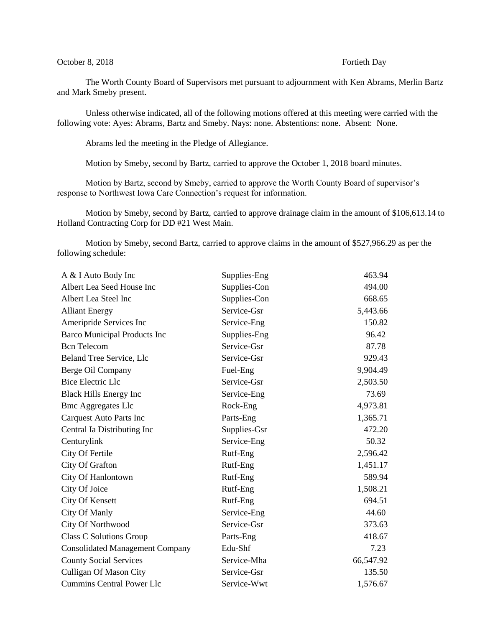## October 8, 2018 **Fortieth Day**

The Worth County Board of Supervisors met pursuant to adjournment with Ken Abrams, Merlin Bartz and Mark Smeby present.

Unless otherwise indicated, all of the following motions offered at this meeting were carried with the following vote: Ayes: Abrams, Bartz and Smeby. Nays: none. Abstentions: none. Absent: None.

Abrams led the meeting in the Pledge of Allegiance.

Motion by Smeby, second by Bartz, carried to approve the October 1, 2018 board minutes.

Motion by Bartz, second by Smeby, carried to approve the Worth County Board of supervisor's response to Northwest Iowa Care Connection's request for information.

Motion by Smeby, second by Bartz, carried to approve drainage claim in the amount of \$106,613.14 to Holland Contracting Corp for DD #21 West Main.

Motion by Smeby, second Bartz, carried to approve claims in the amount of \$527,966.29 as per the following schedule:

| A & I Auto Body Inc                    | Supplies-Eng | 463.94    |
|----------------------------------------|--------------|-----------|
| Albert Lea Seed House Inc              | Supplies-Con | 494.00    |
| Albert Lea Steel Inc                   | Supplies-Con | 668.65    |
| <b>Alliant Energy</b>                  | Service-Gsr  | 5,443.66  |
| Ameripride Services Inc                | Service-Eng  | 150.82    |
| <b>Barco Municipal Products Inc</b>    | Supplies-Eng | 96.42     |
| <b>Bcn</b> Telecom                     | Service-Gsr  | 87.78     |
| Beland Tree Service, Llc               | Service-Gsr  | 929.43    |
| Berge Oil Company                      | Fuel-Eng     | 9,904.49  |
| <b>Bice Electric Llc</b>               | Service-Gsr  | 2,503.50  |
| <b>Black Hills Energy Inc</b>          | Service-Eng  | 73.69     |
| <b>Bmc Aggregates Llc</b>              | Rock-Eng     | 4,973.81  |
| Carquest Auto Parts Inc                | Parts-Eng    | 1,365.71  |
| Central Ia Distributing Inc            | Supplies-Gsr | 472.20    |
| Centurylink                            | Service-Eng  | 50.32     |
| City Of Fertile                        | Rutf-Eng     | 2,596.42  |
| City Of Grafton                        | Rutf-Eng     | 1,451.17  |
| City Of Hanlontown                     | Rutf-Eng     | 589.94    |
| City Of Joice                          | Rutf-Eng     | 1,508.21  |
| City Of Kensett                        | Rutf-Eng     | 694.51    |
| City Of Manly                          | Service-Eng  | 44.60     |
| City Of Northwood                      | Service-Gsr  | 373.63    |
| <b>Class C Solutions Group</b>         | Parts-Eng    | 418.67    |
| <b>Consolidated Management Company</b> | Edu-Shf      | 7.23      |
| <b>County Social Services</b>          | Service-Mha  | 66,547.92 |
| <b>Culligan Of Mason City</b>          | Service-Gsr  | 135.50    |
| <b>Cummins Central Power Llc</b>       | Service-Wwt  | 1,576.67  |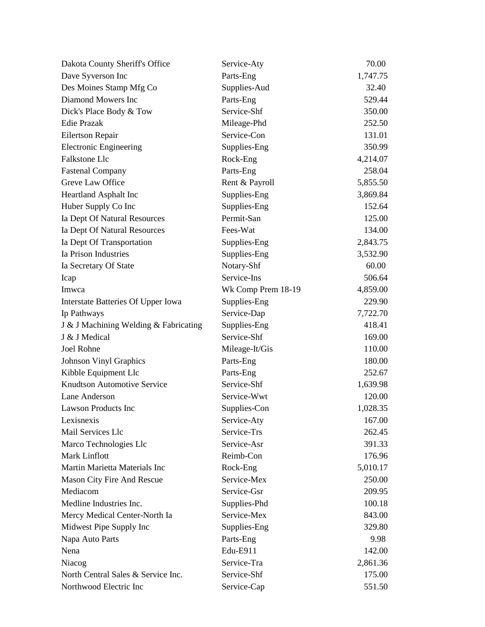| Dakota County Sheriff's Office        | Service-Aty        | 70.00    |
|---------------------------------------|--------------------|----------|
| Dave Syverson Inc                     | Parts-Eng          | 1,747.75 |
| Des Moines Stamp Mfg Co               | Supplies-Aud       | 32.40    |
| Diamond Mowers Inc                    | Parts-Eng          | 529.44   |
| Dick's Place Body & Tow               | Service-Shf        | 350.00   |
| <b>Edie Prazak</b>                    | Mileage-Phd        | 252.50   |
| Eilertson Repair                      | Service-Con        | 131.01   |
| <b>Electronic Engineering</b>         | Supplies-Eng       | 350.99   |
| Falkstone Llc                         | Rock-Eng           | 4,214.07 |
| <b>Fastenal Company</b>               | Parts-Eng          | 258.04   |
| Greve Law Office                      | Rent & Payroll     | 5,855.50 |
| Heartland Asphalt Inc                 | Supplies-Eng       | 3,869.84 |
| Huber Supply Co Inc                   | Supplies-Eng       | 152.64   |
| Ia Dept Of Natural Resources          | Permit-San         | 125.00   |
| Ia Dept Of Natural Resources          | Fees-Wat           | 134.00   |
| Ia Dept Of Transportation             | Supplies-Eng       | 2,843.75 |
| Ia Prison Industries                  | Supplies-Eng       | 3,532.90 |
| Ia Secretary Of State                 | Notary-Shf         | 60.00    |
| Icap                                  | Service-Ins        | 506.64   |
| Imwca                                 | Wk Comp Prem 18-19 | 4,859.00 |
| Interstate Batteries Of Upper Iowa    | Supplies-Eng       | 229.90   |
| Ip Pathways                           | Service-Dap        | 7,722.70 |
| J & J Machining Welding & Fabricating | Supplies-Eng       | 418.41   |
| J & J Medical                         | Service-Shf        | 169.00   |
| Joel Rohne                            | Mileage-It/Gis     | 110.00   |
| Johnson Vinyl Graphics                | Parts-Eng          | 180.00   |
| Kibble Equipment Llc                  | Parts-Eng          | 252.67   |
| <b>Knudtson Automotive Service</b>    | Service-Shf        | 1,639.98 |
| Lane Anderson                         | Service-Wwt        | 120.00   |
| <b>Lawson Products Inc</b>            | Supplies-Con       | 1,028.35 |
| Lexisnexis                            | Service-Aty        | 167.00   |
| Mail Services Llc                     | Service-Trs        | 262.45   |
| Marco Technologies Llc                | Service-Asr        | 391.33   |
| <b>Mark Linflott</b>                  | Reimb-Con          | 176.96   |
| Martin Marietta Materials Inc         | Rock-Eng           | 5,010.17 |
| Mason City Fire And Rescue            | Service-Mex        | 250.00   |
| Mediacom                              | Service-Gsr        | 209.95   |
| Medline Industries Inc.               | Supplies-Phd       | 100.18   |
| Mercy Medical Center-North Ia         | Service-Mex        | 843.00   |
| Midwest Pipe Supply Inc               | Supplies-Eng       | 329.80   |
| Napa Auto Parts                       | Parts-Eng          | 9.98     |
| Nena                                  | Edu-E911           | 142.00   |
| Niacog                                | Service-Tra        | 2,861.36 |
| North Central Sales & Service Inc.    | Service-Shf        | 175.00   |
| Northwood Electric Inc                | Service-Cap        | 551.50   |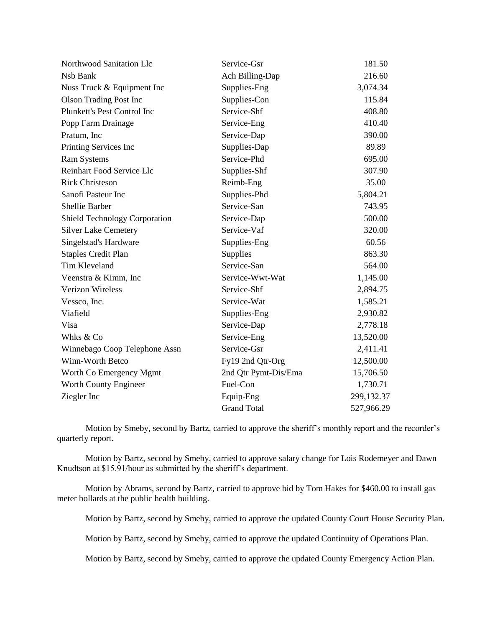| Northwood Sanitation Llc             | Service-Gsr          | 181.50     |
|--------------------------------------|----------------------|------------|
| Nsb Bank                             | Ach Billing-Dap      | 216.60     |
| Nuss Truck & Equipment Inc           | Supplies-Eng         | 3,074.34   |
| <b>Olson Trading Post Inc</b>        | Supplies-Con         | 115.84     |
| Plunkett's Pest Control Inc          | Service-Shf          | 408.80     |
| Popp Farm Drainage                   | Service-Eng          | 410.40     |
| Pratum, Inc.                         | Service-Dap          | 390.00     |
| Printing Services Inc                | Supplies-Dap         | 89.89      |
| <b>Ram Systems</b>                   | Service-Phd          | 695.00     |
| Reinhart Food Service Llc            | Supplies-Shf         | 307.90     |
| <b>Rick Christeson</b>               | Reimb-Eng            | 35.00      |
| Sanofi Pasteur Inc                   | Supplies-Phd         | 5,804.21   |
| <b>Shellie Barber</b>                | Service-San          | 743.95     |
| <b>Shield Technology Corporation</b> | Service-Dap          | 500.00     |
| <b>Silver Lake Cemetery</b>          | Service-Vaf          | 320.00     |
| Singelstad's Hardware                | Supplies-Eng         | 60.56      |
| <b>Staples Credit Plan</b>           | Supplies             | 863.30     |
| Tim Kleveland                        | Service-San          | 564.00     |
| Veenstra & Kimm, Inc                 | Service-Wwt-Wat      | 1,145.00   |
| <b>Verizon Wireless</b>              | Service-Shf          | 2,894.75   |
| Vessco, Inc.                         | Service-Wat          | 1,585.21   |
| Viafield                             | Supplies-Eng         | 2,930.82   |
| Visa                                 | Service-Dap          | 2,778.18   |
| Whks & Co                            | Service-Eng          | 13,520.00  |
| Winnebago Coop Telephone Assn        | Service-Gsr          | 2,411.41   |
| Winn-Worth Betco                     | Fy19 2nd Qtr-Org     | 12,500.00  |
| Worth Co Emergency Mgmt              | 2nd Qtr Pymt-Dis/Ema | 15,706.50  |
| Worth County Engineer                | Fuel-Con             | 1,730.71   |
| Ziegler Inc                          | Equip-Eng            | 299,132.37 |
|                                      | <b>Grand Total</b>   | 527,966.29 |

Motion by Smeby, second by Bartz, carried to approve the sheriff's monthly report and the recorder's quarterly report.

Motion by Bartz, second by Smeby, carried to approve salary change for Lois Rodemeyer and Dawn Knudtson at \$15.91/hour as submitted by the sheriff's department.

Motion by Abrams, second by Bartz, carried to approve bid by Tom Hakes for \$460.00 to install gas meter bollards at the public health building.

Motion by Bartz, second by Smeby, carried to approve the updated County Court House Security Plan.

Motion by Bartz, second by Smeby, carried to approve the updated Continuity of Operations Plan.

Motion by Bartz, second by Smeby, carried to approve the updated County Emergency Action Plan.